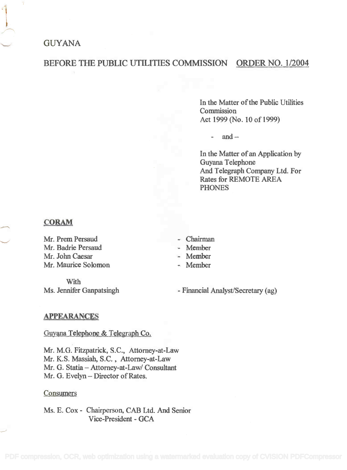# **GUYANA**

# BEFORE THE PUBLIC UTILITIES COMMISSION ORDER NO. 1/2004

In the Matter of the Public Utilities In the Matter of the Public Utilities Commission Commission Act 1999 (No. 10 of 1999) Act 1999 (No. 10 of 1999)

 $and -$ 

In the Matter of an Application by In the Matter of an Application by Guyana Telephone Guyana Telephone And Telegraph Company Ltd. For And Telegraph Company Ltd. For Rates for REMOTE AREA Rates for REMOTE AREA PHONES PHONES

### CORAM

Mr. Prem Persaud - Chairman Mr. Prem Persaud Mr. Badrie Persaud - Member Mr. Badrie Persaud Mr. John Caesar - Member Mr. Maurice Solomon - Member Mr. Maurice Solomon

With With Ms. Jennifer Ganpatsingh - Chairman

- Member
- Member
- **Member**

- Financial Analyst/Secretary (ag)

#### APPEARANCES

Guyana Telephone & Telegraph Co.

Mr. M.G. Fitzpatrick, S.C., Attorney-at-Law Mr. M.G. Fitzpatrick, S.C., Attorney-at-Law Mr. K.S. Massiah, S.C. , Attorney-at-Law Mr. K.S. Massiah, S.C., Attorney-at-Law Mr. G. Statia Attorney-at-Law/ Consultant Mr. G. Statia - Attorney-at-Law/ Consultant Mr. G. Evelyn – Director of Rates.

#### **Consumers**

Ms. E. Cox - Chairperson, CAB Ltd. And Senior Ms. E. Cox - Chairperson, CAB Ltd. And Senior Vice-President - GCA Vice-President - GCA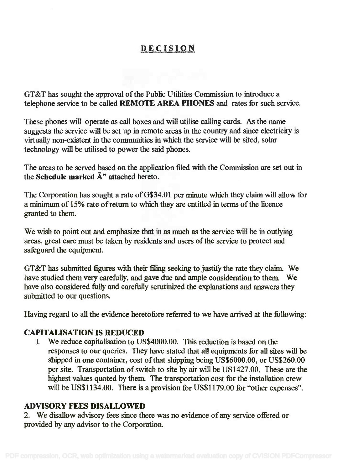# DECISION

GT&T has sought the approval of the Public Utilities Commission to introduce a OT&T has sought the approval of the Public Utilities Commission to introduce a telephone service to be called REMOTE AREA PHONES and rates for such service. telephone service to be called REMOTE AREA PHONES and rates for such service.

These phones will operate as call boxes and will utilise calling cards. As the name These phones will operate as call boxes and will utilise calling cards. As the name suggests the service will be set up in remote areas in the country and since electricity is suggests the service will be set up in remote areas in the country and since electricity is virtually non-existent in the communities in which the service will be sited, solar virtually non-existent in the communities in which the service will be sited, solar technology will be utilised to power the said phones. technology will be utilised to power the said phones.

The areas to be served based on the application filed with the Commission are set out in The areas to be served based on the application filed with the Commission are set out in the Schedule marked  $\mathbf{\tilde{A}}^n$  attached hereto.

The Corporation has sought a rate of G\$34.01 per minute which they claim will allow for a minimum of 15% rate of return to which they are entitled in terms of the licence a minimum of 15% rate of return to which they are entitled in terms of the licence granted to them. granted to them.

We wish to point out and emphasize that in as much as the service will be in outlying We wish to point out and emphasize that in as much as the service will be in outlying areas, great care must be taken by residents and users of the service to protect and areas, great care must be taken by residents and users of the service to protect and safeguard the equipment. safeguard the equipment.

GT&T has submitted figures with their filing seeking to justify the rate they claim. We OT&T has submitted figures with their filing seeking to justify the rate they claim. We have studied them very carefully, and gave due and ample consideration to them. We have studied them very carefully, and gave due and ample consideration to them. We have also considered fully and carefully scrutinized the explanations and answers they have also considered fully and carefully scrutinized the explanations and answers they submitted to our questions. submitted to our questions.

Having regard to all the evidence heretofore referred to we have arrived at the following:

# CAPITALISATION IS REDUCED CAPITALISATION IS REDUCED

1. We reduce capitalisation to US\$4000.00. This reduction is based on the 1. We reduce capitalisation to US\$4000.00. This reduction is based on the responses to our queries. They have stated that all equipments for all sites will be responses to our queries. They have stated that all equipments for all sites will be shipped in one container, cost of that shipping being US\$6000.00, or US\$260.00 shipped in one container, cost ofthat shipping being US\$6000.00, or US\$260.00 per site. Transportation of switch to site by air will be US1427.00. These are the per site. Transportation of switch to site by air will be USI427.00. These are the highest values quoted by them. The transportation cost for the installation crew highest values quoted by them. The transportation cost for the installation crew will be US\$1134.00. There is a provision for US\$1179.00 for "other expenses". will be US\$I134.00. There is a provision for US\$1179.00 for "other expenses".

# ADVISORY FEES DISALLOWED ADVISORY FEES DISALLOWED

2. We disallow advisory fees since there was no evidence of any service offered or 2. We disallow advisory fees since there was no evidence of any service offered or provided by any advisor to the Corporation. provided by any advisor to the Corporation.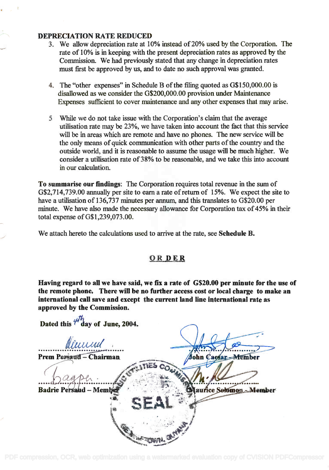### DEPRECIATION RATE REDUCED DEPRECIATION RATE REDUCED

- 3. We allow depreciation rate at 10% instead of 20% used by the Corporation. The 3. We allow depreciation rate at 10% instead of20% used by the Corporation. The rate of 10% is in keeping with the present depreciation rates as approved by the Commission. We had previously stated that any change in depreciation rates Commission. We had previously stated that any change in depreciation rates must first be approved by us, and to date no such approval was granted. must first be approved by us, and to date no such approval was granted.
- 4. The "other expenses" in Schedule 13 of the filing quoted as G\$150,000.00 is 4. The "other expenses" in Schedule B of the filing quoted as 0\$150,000.00 is disallowed as we consider the G\$200,000.00 provision under Maintenance disallowed as we consider the 0\$200,000.00 provision under Maintenance Expenses sufficient to cover maintenance and any other expenses that may arise. Expenses sufficient to cover maintenance and any other expenses that may arise.
- 5 While we do not take issue with the Corporation's claim that the average 5 While we do not take issue with the Corporation's claim that the average utilisation rate may be 23%, we have taken into account the fact that this service utilisation rate may be 23%, we have taken into account the fact that this service will be in areas which are remote and have no phones. The new service will be the only means of quick communication with other parts of the country and the the only means of quick communication with other parts of the country and the outside world, and it is reasonable to assume the usage will be much higher. We outside world, and it is reasonable to assume the usage will be much higher. We consider a utilisation rate of 38% to be reasonable, and we take this into account in our calculation. in our calculation.

To summarise our findings: The Corporation requires total revenue in the sum of To summarise our findings: The Corporation requires total revenue in the sum of G\$2,714,739.00 annually per site to earn a rate of return of 15%. We expect the site to 0\$2,714,739.00 annually per site to earn a rate of return of 15%. We expect the site to have a utilisation of 136,737 minutes per annum, and this translates to G\$20.00 per have a utilisation of 136,737 minutes per annum, and this translates to 0\$20.00 per minute. We have also made the necessary allowance for Corporation tax of 45% in their minute. We have also made the necessary allowance for Corporation tax of 45% in their total expense of G\$1,239,073.00. total expense ofG\$I,239,073.00.

We attach hereto the calculations used to arrive at the rate, see Schedule B.

## OR DER

Having regard to all we have said, we fix a rate of  $\,$  G\$20.00 per minute for the use of the remote phone. There will be no further access cost or local charge to make an international call save and except the current land line international rate as approved by the Commission. approved by the Commission.

*':'';''''.'*

*.. ,.' '·~I*

Dated this  $\mathcal{F}$  day of June, 2004.

ttiabed *I!ttuud '* **.......•.••........•..... .....•.**

Prem Persaud - Chairman *( <u><i>A A*<sub></sub> *a*<sup>*x*</sup> *a*<sup>*x*</sup> *a*<sup>*x*</sup> *a*<sup>*x*</sup> *a*<sup>*x*</sup> *a*<sup>*x*</sup> *A*<sup>*x*</sup></del></u>

*<sup>~</sup> • <sup>I</sup> ~.. '.:"'* ~/l'f'.~·:'.lJifct *....D. ~ (1,. ' ',~ ..,'.' .:,,..~,,* d . , ~'.: ..·.·..~~1:·.""· :.'Io- •• ~, • <sup>I</sup> 8a nePe d-Mem . .' '.,.,.'. " ,,: ,ol'.. au  $2^{\frac{1}{2}}$  .  $2^{\frac{1}{2}}$  $25.1212$ 

 $\cdot$  .  $\cdot$   $\cdot$   $\cdot$   $\cdot$ 

 $\bullet$ ,  $\bullet$  .

 $+$ ~~~

laurice Selomon - Member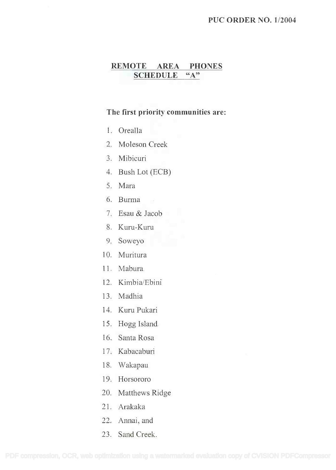#### PUC ORDER NO. 1/2004

# REMOTE AREA PHONES **REMOTE AREA PHONES** SCHEDULE "A" **SCHEDULE** "A"

#### The first priority communities are:

- 1. Orealla I. Orealla
- 2. Moleson Creek 2. Moleson Creek
- 3. Mibicuri 3. Mibicuri
- 4. Bush Lot (ECB) 4. Bush Lot (ECB)
- 5. Mara 5. Mara
- 6. Burma 6. Burma
- 7. Esau & Jacob 7. Esau & Jacob
- 8. Kuru-Kuru 8. Kuru-Kuru
- 9. Soweyo 9. Soweyo
- 10. Muritura 10. Muritura
- 11. Mabura II. Mabura
- 12. Kimbia/Ebini 12. Kimbia/Ebini
- 13. Madhia 13. Madhia
- 14. Kum Pukari 14. Kuru Pukari
- 15. Hogg Island 15. Hogg Island
- 16. Santa Rosa 16. Santa Rosa
- 17. Kabacaburi 17. Kabacaburi
- 18. Wakapau 18. Wakapau
- 19. Horsororo 19. Horsororo
- 20. Matthews Ridge 20. Matthews Ridge
- 21. Arakaka 2I. Arakaka
- 22. Annai, and 22. Annai, and
- 23. Sand Creek. 23. Sand Creek.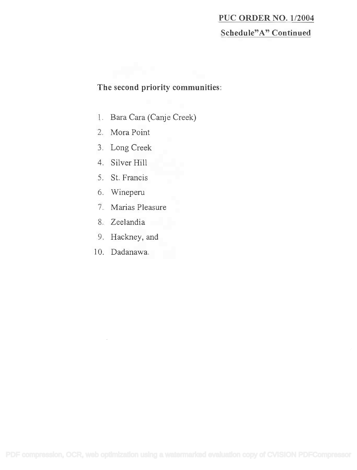### PUC ORDER NO. 1/2004 **PUC ORDER NO. 112004**

### Schedule"A" Continued **Schedule" A" Continued**

### The second priority communities:

- 1. Bara Cara (Canje Creek) 1. Bara Cara (Canje Creek)
- 2. Mora Point 2. Mora Point
- 3. Long Creek 3. Long Creek
- 4. Silver Hill 4. Silver Hill
- 5. St. Francis 5. St. Francis
- 6. Wineperu 6. Wineperu
- 7. Marias Pleasure 7. Marias Pleasure
- 8. Zeelandia 8. Zeelandia
- 9. Hackney, and 9. Hackney, and
- 10. Dadanawa. 10. Dadanawa.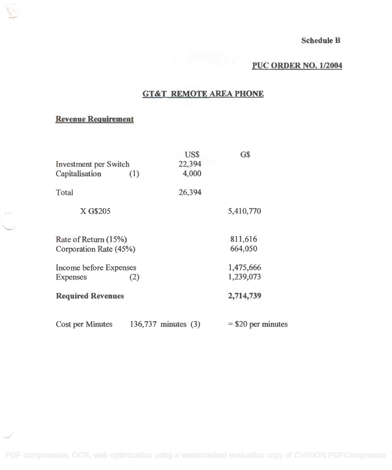# PUC ORDER NO. 1/2004

### GT&T REMOTE AREA PHONE

# Revenue Requirement

| <b>Investment</b> per Switch<br>Capitalisation   | (1)                 | US\$<br>22,394<br>4,000 | G\$                    |
|--------------------------------------------------|---------------------|-------------------------|------------------------|
| Total                                            |                     | 26,394                  |                        |
| X G\$205                                         |                     |                         | 5,410,770              |
| Rate of Return (15%)<br>Corporation Rate (45%)   |                     |                         | 811,616<br>664,050     |
| Income before Expenses<br>(2)<br><b>Expenses</b> |                     |                         | 1,475,666<br>1,239,073 |
| <b>Required Revenues</b>                         |                     |                         | 2,714,739              |
| <b>Cost per Minutes</b>                          | 136,737 minutes (3) |                         | $=$ \$20 per minutes   |